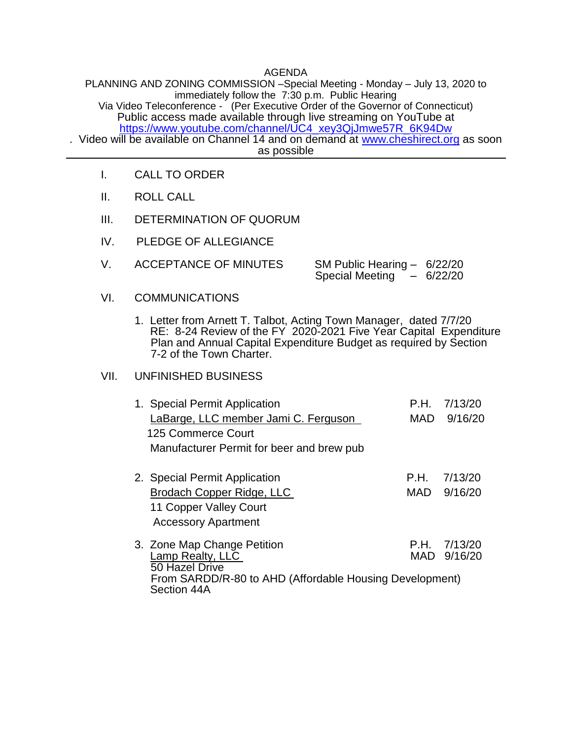## AGENDA

PLANNING AND ZONING COMMISSION –Special Meeting - Monday – July 13, 2020 to immediately follow the 7:30 p.m. Public Hearing Via Video Teleconference - (Per Executive Order of the Governor of Connecticut) Public access made available through live streaming on YouTube at [https://www.youtube.com/channel/UC4\\_xey3QjJmwe57R\\_6K94Dw](https://www.youtube.com/channel/UC4_xey3QjJmwe57R_6K94Dw)

. Video will be available on Channel 14 and on demand at [www.cheshirect.org](http://www.cheshirect.org/) as soon as possible

- I. CALL TO ORDER
- II. ROLL CALL
- III. DETERMINATION OF QUORUM
- IV. PLEDGE OF ALLEGIANCE
- V. ACCEPTANCE OF MINUTES SM Public Hearing 6/22/20 Special Meeting  $-6/22/20$
- VI. COMMUNICATIONS
	- 1. Letter from Arnett T. Talbot, Acting Town Manager, dated 7/7/20 RE: 8-24 Review of the FY 2020-2021 Five Year Capital Expenditure Plan and Annual Capital Expenditure Budget as required by Section 7-2 of the Town Charter.

## VII. UNFINISHED BUSINESS

Section 44A

| 7/13/20                                                 |
|---------------------------------------------------------|
| 9/16/20                                                 |
|                                                         |
|                                                         |
| 7/13/20                                                 |
| 9/16/20                                                 |
|                                                         |
|                                                         |
| 7/13/20                                                 |
| MAD 9/16/20                                             |
| From SARDD/R-80 to AHD (Affordable Housing Development) |
| P.H.<br><b>MAD</b><br>P.H.<br>MAD<br>P.H.               |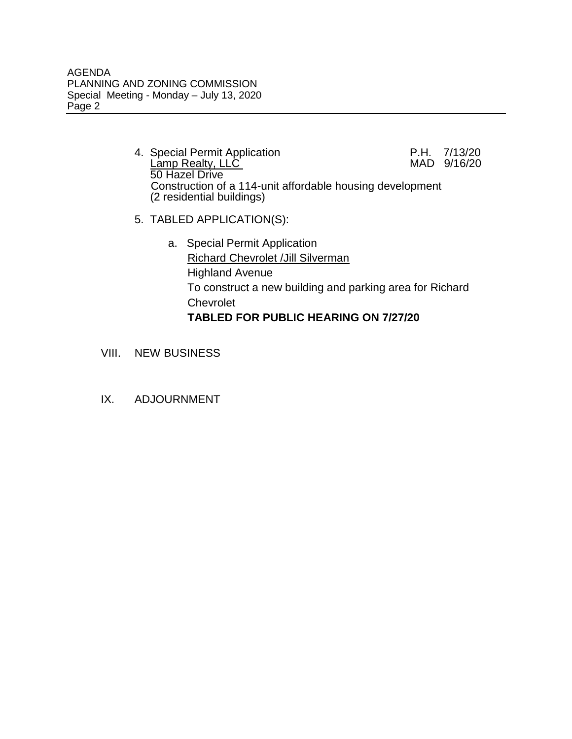- 4. Special Permit Application **P.H. 7/13/20**<br>Lamp Realty, LLC **MAD** 9/16/20 Lamp Realty, LLC 50 Hazel Drive Construction of a 114-unit affordable housing development (2 residential buildings)
- 5. TABLED APPLICATION(S):
	- a. Special Permit Application Richard Chevrolet /Jill Silverman Highland Avenue To construct a new building and parking area for Richard Chevrolet **TABLED FOR PUBLIC HEARING ON 7/27/20**
- VIII. NEW BUSINESS
- IX. ADJOURNMENT